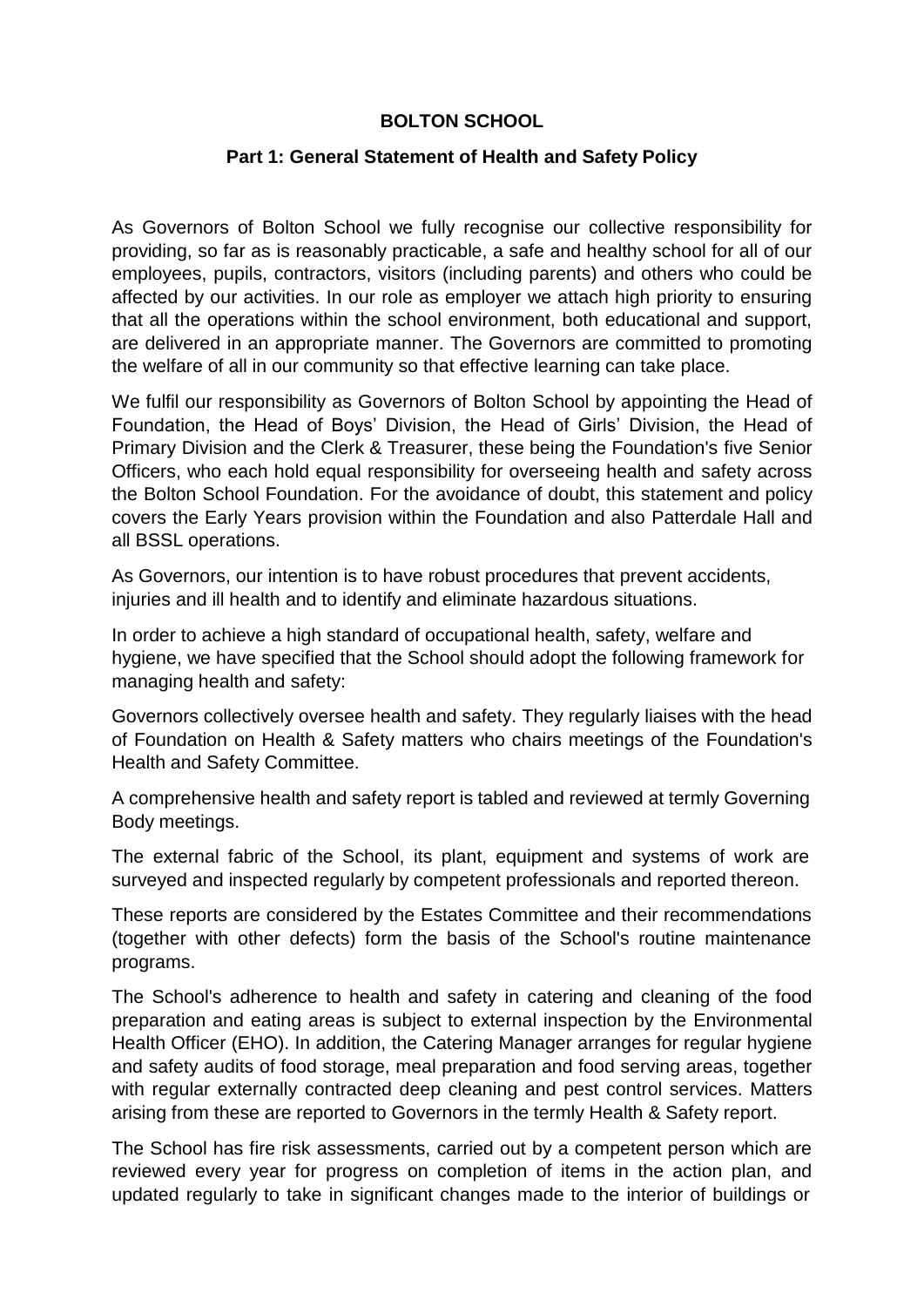#### **BOLTON SCHOOL**

#### **Part 1: General Statement of Health and Safety Policy**

As Governors of Bolton School we fully recognise our collective responsibility for providing, so far as is reasonably practicable, a safe and healthy school for all of our employees, pupils, contractors, visitors (including parents) and others who could be affected by our activities. In our role as employer we attach high priority to ensuring that all the operations within the school environment, both educational and support, are delivered in an appropriate manner. The Governors are committed to promoting the welfare of all in our community so that effective learning can take place.

We fulfil our responsibility as Governors of Bolton School by appointing the Head of Foundation, the Head of Boys' Division, the Head of Girls' Division, the Head of Primary Division and the Clerk & Treasurer, these being the Foundation's five Senior Officers, who each hold equal responsibility for overseeing health and safety across the Bolton School Foundation. For the avoidance of doubt, this statement and policy covers the Early Years provision within the Foundation and also Patterdale Hall and all BSSL operations.

As Governors, our intention is to have robust procedures that prevent accidents, injuries and ill health and to identify and eliminate hazardous situations.

In order to achieve a high standard of occupational health, safety, welfare and hygiene, we have specified that the School should adopt the following framework for managing health and safety:

Governors collectively oversee health and safety. They regularly liaises with the head of Foundation on Health & Safety matters who chairs meetings of the Foundation's Health and Safety Committee.

A comprehensive health and safety report is tabled and reviewed at termly Governing Body meetings.

The external fabric of the School, its plant, equipment and systems of work are surveyed and inspected regularly by competent professionals and reported thereon.

These reports are considered by the Estates Committee and their recommendations (together with other defects) form the basis of the School's routine maintenance programs.

The School's adherence to health and safety in catering and cleaning of the food preparation and eating areas is subject to external inspection by the Environmental Health Officer (EHO). In addition, the Catering Manager arranges for regular hygiene and safety audits of food storage, meal preparation and food serving areas, together with regular externally contracted deep cleaning and pest control services. Matters arising from these are reported to Governors in the termly Health & Safety report.

The School has fire risk assessments, carried out by a competent person which are reviewed every year for progress on completion of items in the action plan, and updated regularly to take in significant changes made to the interior of buildings or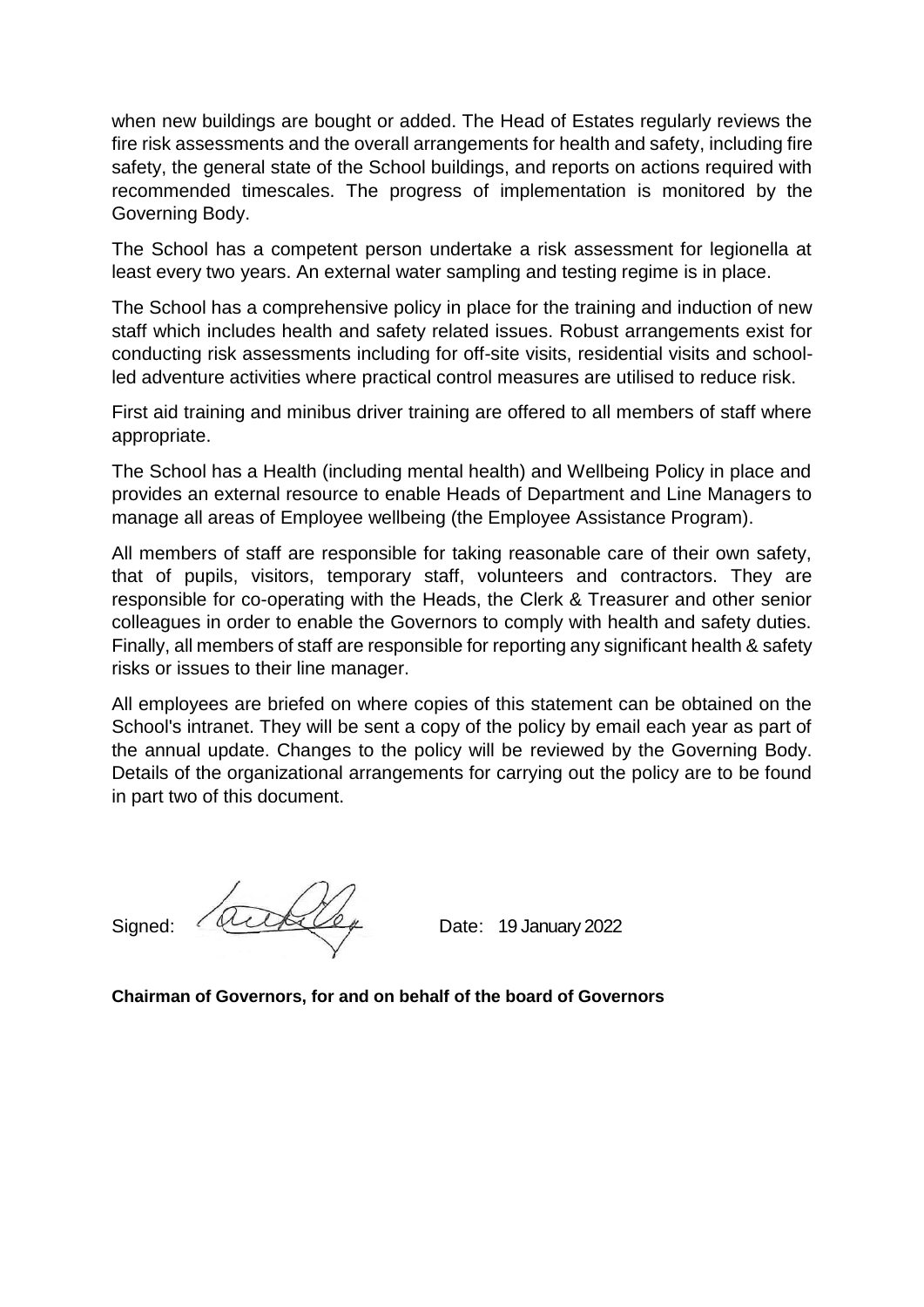when new buildings are bought or added. The Head of Estates regularly reviews the fire risk assessments and the overall arrangements for health and safety, including fire safety, the general state of the School buildings, and reports on actions required with recommended timescales. The progress of implementation is monitored by the Governing Body.

The School has a competent person undertake a risk assessment for legionella at least every two years. An external water sampling and testing regime is in place.

The School has a comprehensive policy in place for the training and induction of new staff which includes health and safety related issues. Robust arrangements exist for conducting risk assessments including for off-site visits, residential visits and schoolled adventure activities where practical control measures are utilised to reduce risk.

First aid training and minibus driver training are offered to all members of staff where appropriate.

The School has a Health (including mental health) and Wellbeing Policy in place and provides an external resource to enable Heads of Department and Line Managers to manage all areas of Employee wellbeing (the Employee Assistance Program).

All members of staff are responsible for taking reasonable care of their own safety, that of pupils, visitors, temporary staff, volunteers and contractors. They are responsible for co-operating with the Heads, the Clerk & Treasurer and other senior colleagues in order to enable the Governors to comply with health and safety duties. Finally, all members of staff are responsible for reporting any significant health & safety risks or issues to their line manager.

All employees are briefed on where copies of this statement can be obtained on the School's intranet. They will be sent a copy of the policy by email each year as part of the annual update. Changes to the policy will be reviewed by the Governing Body. Details of the organizational arrangements for carrying out the policy are to be found in part two of this document.

Signed:  $\sqrt{442\sqrt{24}}$  Date: 19 January 2022

**Chairman of Governors, for and on behalf of the board of Governors**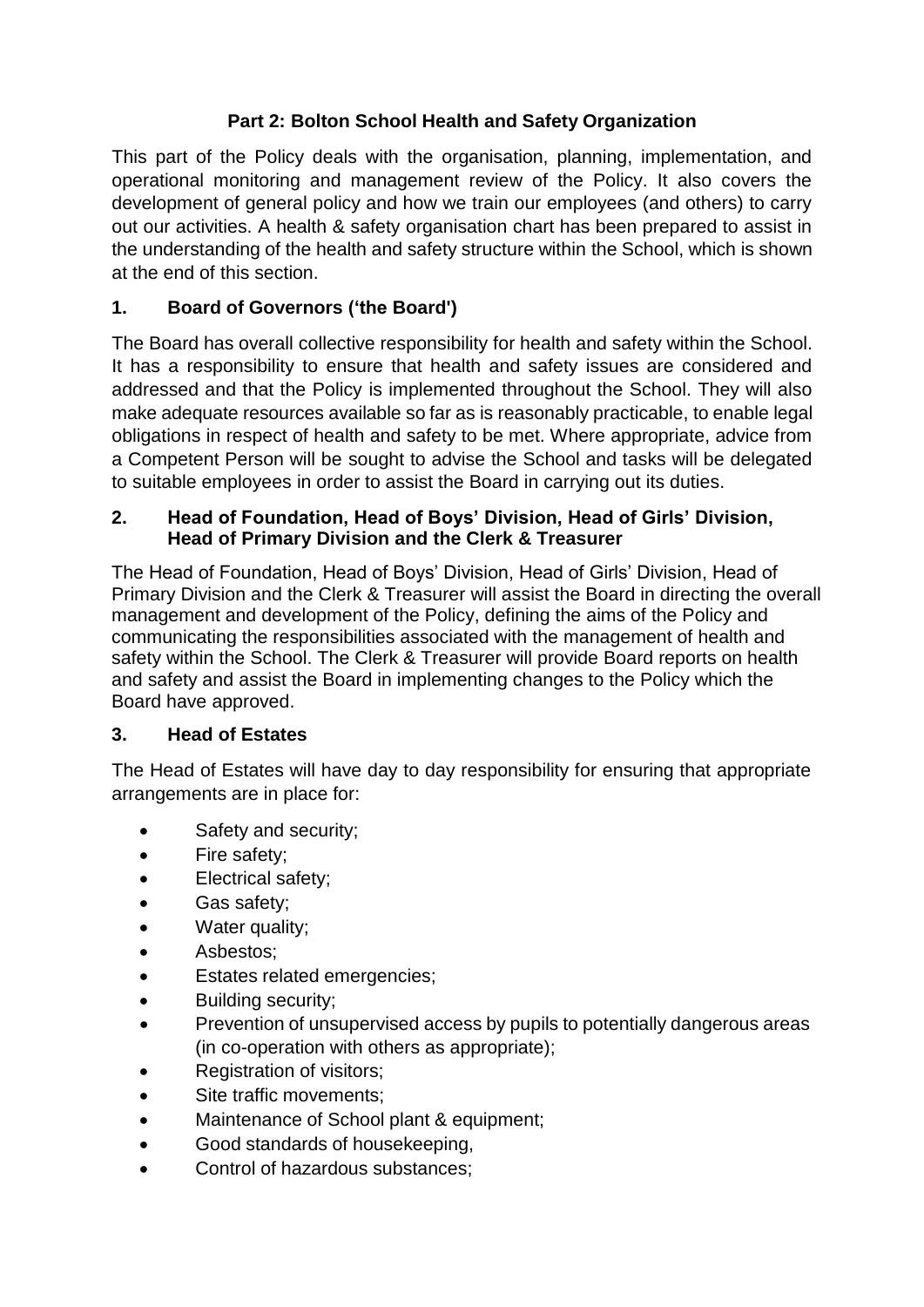## **Part 2: Bolton School Health and Safety Organization**

This part of the Policy deals with the organisation, planning, implementation, and operational monitoring and management review of the Policy. It also covers the development of general policy and how we train our employees (and others) to carry out our activities. A health & safety organisation chart has been prepared to assist in the understanding of the health and safety structure within the School, which is shown at the end of this section.

### **1. Board of Governors ('the Board')**

The Board has overall collective responsibility for health and safety within the School. It has a responsibility to ensure that health and safety issues are considered and addressed and that the Policy is implemented throughout the School. They will also make adequate resources available so far as is reasonably practicable, to enable legal obligations in respect of health and safety to be met. Where appropriate, advice from a Competent Person will be sought to advise the School and tasks will be delegated to suitable employees in order to assist the Board in carrying out its duties.

#### **2. Head of Foundation, Head of Boys' Division, Head of Girls' Division, Head of Primary Division and the Clerk & Treasurer**

The Head of Foundation, Head of Boys' Division, Head of Girls' Division, Head of Primary Division and the Clerk & Treasurer will assist the Board in directing the overall management and development of the Policy, defining the aims of the Policy and communicating the responsibilities associated with the management of health and safety within the School. The Clerk & Treasurer will provide Board reports on health and safety and assist the Board in implementing changes to the Policy which the Board have approved.

### **3. Head of Estates**

The Head of Estates will have day to day responsibility for ensuring that appropriate arrangements are in place for:

- Safety and security;
- Fire safety;
- Electrical safety;
- Gas safety;
- Water quality;
- Asbestos;
- **Estates related emergencies;**
- Building security;
- Prevention of unsupervised access by pupils to potentially dangerous areas (in co-operation with others as appropriate);
- Registration of visitors;
- Site traffic movements:
- Maintenance of School plant & equipment;
- Good standards of housekeeping,
- Control of hazardous substances;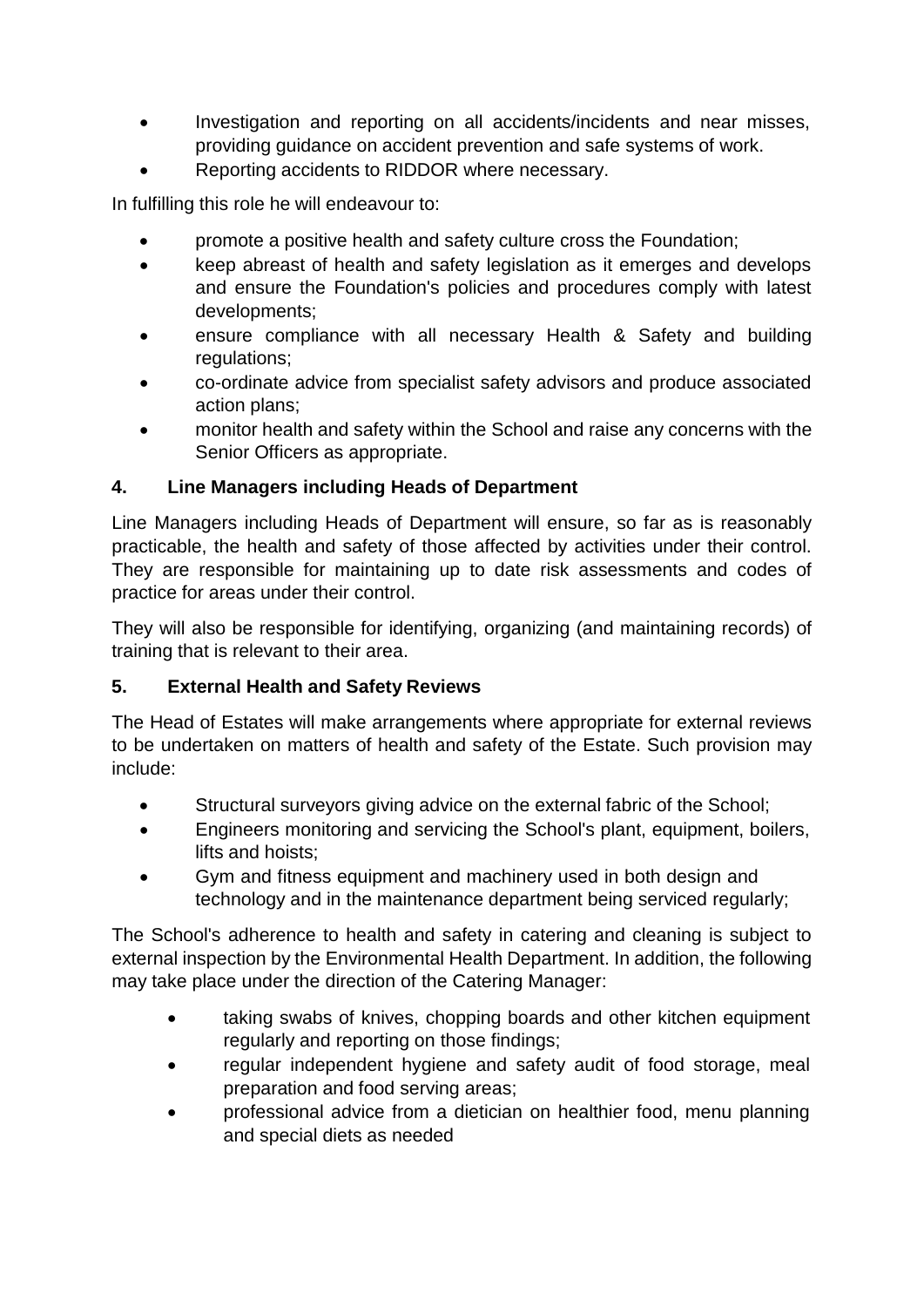- Investigation and reporting on all accidents/incidents and near misses, providing guidance on accident prevention and safe systems of work.
- Reporting accidents to RIDDOR where necessary.

In fulfilling this role he will endeavour to:

- promote a positive health and safety culture cross the Foundation;
- keep abreast of health and safety legislation as it emerges and develops and ensure the Foundation's policies and procedures comply with latest developments;
- ensure compliance with all necessary Health & Safety and building regulations;
- co-ordinate advice from specialist safety advisors and produce associated action plans;
- monitor health and safety within the School and raise any concerns with the Senior Officers as appropriate.

# **4. Line Managers including Heads of Department**

Line Managers including Heads of Department will ensure, so far as is reasonably practicable, the health and safety of those affected by activities under their control. They are responsible for maintaining up to date risk assessments and codes of practice for areas under their control.

They will also be responsible for identifying, organizing (and maintaining records) of training that is relevant to their area.

## **5. External Health and Safety Reviews**

The Head of Estates will make arrangements where appropriate for external reviews to be undertaken on matters of health and safety of the Estate. Such provision may include:

- Structural surveyors giving advice on the external fabric of the School;
- Engineers monitoring and servicing the School's plant, equipment, boilers, lifts and hoists;
- Gym and fitness equipment and machinery used in both design and technology and in the maintenance department being serviced regularly;

The School's adherence to health and safety in catering and cleaning is subject to external inspection by the Environmental Health Department. In addition, the following may take place under the direction of the Catering Manager:

- taking swabs of knives, chopping boards and other kitchen equipment regularly and reporting on those findings;
- regular independent hygiene and safety audit of food storage, meal preparation and food serving areas;
- professional advice from a dietician on healthier food, menu planning and special diets as needed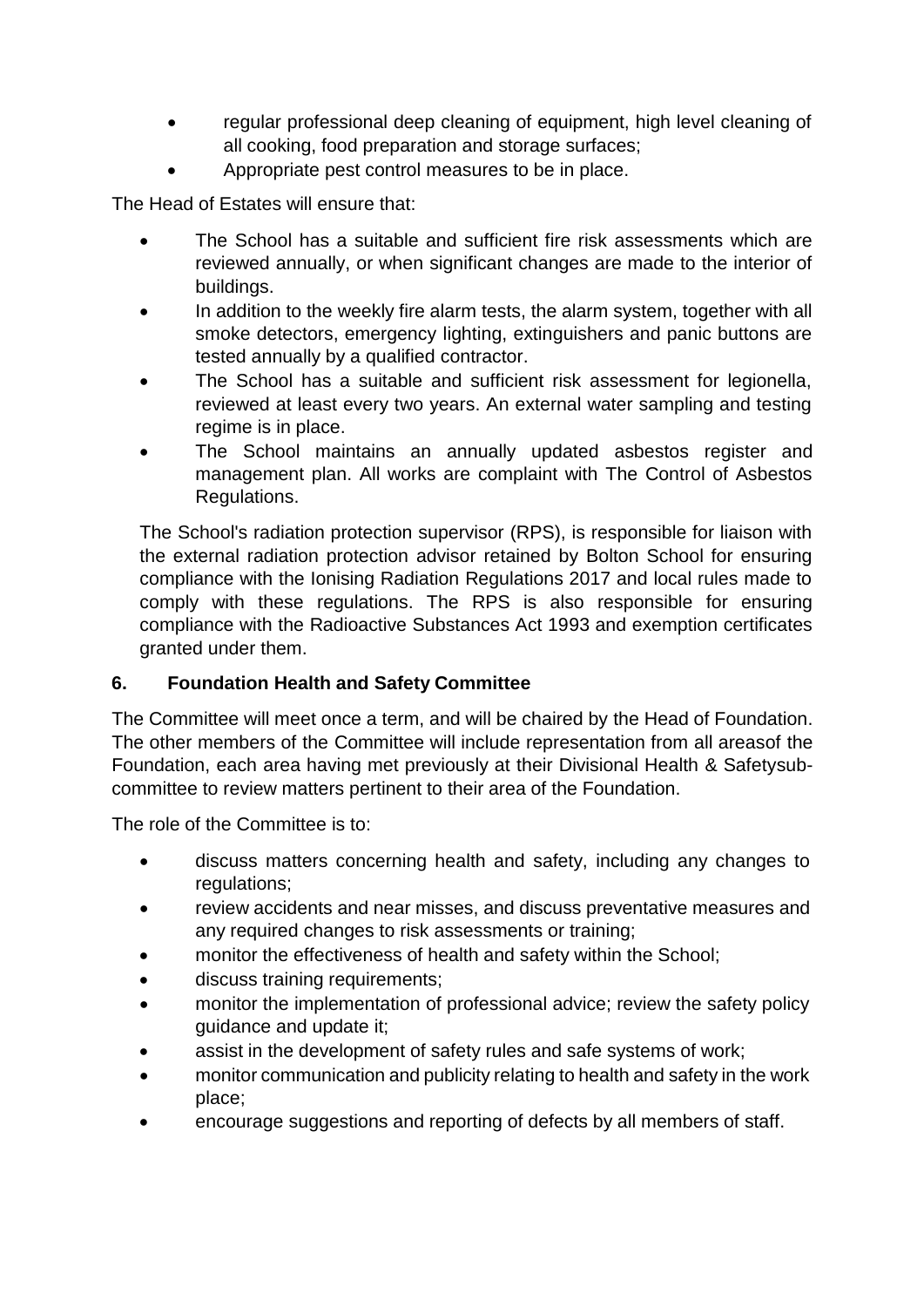- regular professional deep cleaning of equipment, high level cleaning of all cooking, food preparation and storage surfaces;
- Appropriate pest control measures to be in place.

The Head of Estates will ensure that:

- The School has a suitable and sufficient fire risk assessments which are reviewed annually, or when significant changes are made to the interior of buildings.
- In addition to the weekly fire alarm tests, the alarm system, together with all smoke detectors, emergency lighting, extinguishers and panic buttons are tested annually by a qualified contractor.
- The School has a suitable and sufficient risk assessment for legionella, reviewed at least every two years. An external water sampling and testing regime is in place.
- The School maintains an annually updated asbestos register and management plan. All works are complaint with The Control of Asbestos Regulations.

The School's radiation protection supervisor (RPS), is responsible for liaison with the external radiation protection advisor retained by Bolton School for ensuring compliance with the Ionising Radiation Regulations 2017 and local rules made to comply with these regulations. The RPS is also responsible for ensuring compliance with the Radioactive Substances Act 1993 and exemption certificates granted under them.

### **6. Foundation Health and Safety Committee**

The Committee will meet once a term, and will be chaired by the Head of Foundation. The other members of the Committee will include representation from all areasof the Foundation, each area having met previously at their Divisional Health & Safetysubcommittee to review matters pertinent to their area of the Foundation.

The role of the Committee is to:

- discuss matters concerning health and safety, including any changes to regulations;
- review accidents and near misses, and discuss preventative measures and any required changes to risk assessments or training;
- monitor the effectiveness of health and safety within the School;
- discuss training requirements;
- monitor the implementation of professional advice; review the safety policy guidance and update it;
- assist in the development of safety rules and safe systems of work;
- monitor communication and publicity relating to health and safety in the work place;
- encourage suggestions and reporting of defects by all members of staff.